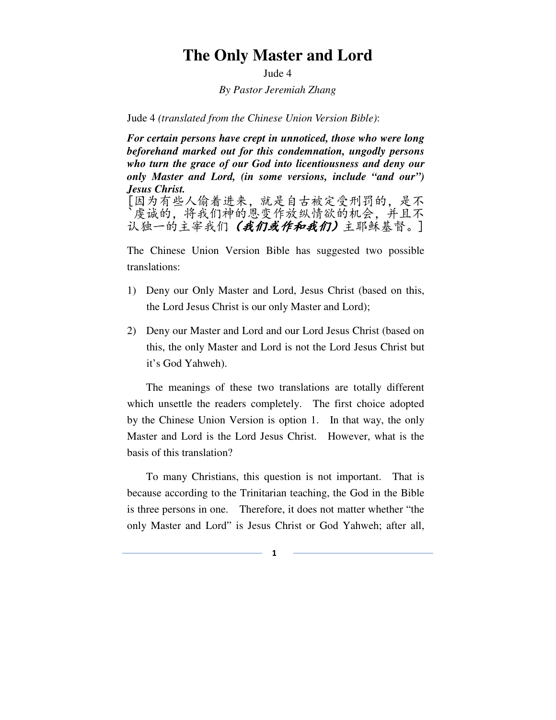# **The Only Master and Lord**

Jude 4

*By Pastor Jeremiah Zhang* 

Jude 4 *(translated from the Chinese Union Version Bible)*:

*For certain persons have crept in unnoticed, those who were long beforehand marked out for this condemnation, ungodly persons who turn the grace of our God into licentiousness and deny our only Master and Lord, (in some versions, include "and our") Jesus Christ.*  [因为有些人偷着进来,就是自古被定受刑罚的,是不 虔诚的,将我们神的恩变作放纵情欲的机会,并且不 认独一的主宰我们 (我们或作和我们)主耶稣基督。]

The Chinese Union Version Bible has suggested two possible translations:

- 1) Deny our Only Master and Lord, Jesus Christ (based on this, the Lord Jesus Christ is our only Master and Lord);
- 2) Deny our Master and Lord and our Lord Jesus Christ (based on this, the only Master and Lord is not the Lord Jesus Christ but it's God Yahweh).

The meanings of these two translations are totally different which unsettle the readers completely. The first choice adopted by the Chinese Union Version is option 1. In that way, the only Master and Lord is the Lord Jesus Christ. However, what is the basis of this translation?

To many Christians, this question is not important. That is because according to the Trinitarian teaching, the God in the Bible is three persons in one. Therefore, it does not matter whether "the only Master and Lord" is Jesus Christ or God Yahweh; after all,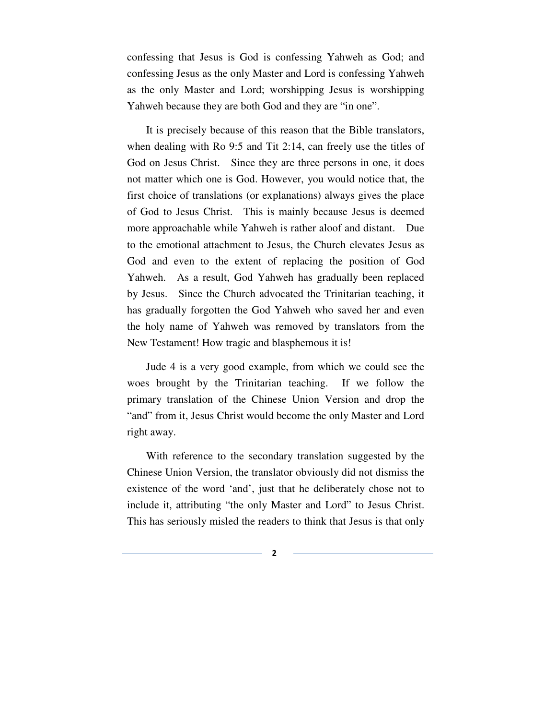confessing that Jesus is God is confessing Yahweh as God; and confessing Jesus as the only Master and Lord is confessing Yahweh as the only Master and Lord; worshipping Jesus is worshipping Yahweh because they are both God and they are "in one".

It is precisely because of this reason that the Bible translators, when dealing with Ro 9:5 and Tit 2:14, can freely use the titles of God on Jesus Christ. Since they are three persons in one, it does not matter which one is God. However, you would notice that, the first choice of translations (or explanations) always gives the place of God to Jesus Christ. This is mainly because Jesus is deemed more approachable while Yahweh is rather aloof and distant. Due to the emotional attachment to Jesus, the Church elevates Jesus as God and even to the extent of replacing the position of God Yahweh. As a result, God Yahweh has gradually been replaced by Jesus. Since the Church advocated the Trinitarian teaching, it has gradually forgotten the God Yahweh who saved her and even the holy name of Yahweh was removed by translators from the New Testament! How tragic and blasphemous it is!

Jude 4 is a very good example, from which we could see the woes brought by the Trinitarian teaching. If we follow the primary translation of the Chinese Union Version and drop the "and" from it, Jesus Christ would become the only Master and Lord right away.

With reference to the secondary translation suggested by the Chinese Union Version, the translator obviously did not dismiss the existence of the word 'and', just that he deliberately chose not to include it, attributing "the only Master and Lord" to Jesus Christ. This has seriously misled the readers to think that Jesus is that only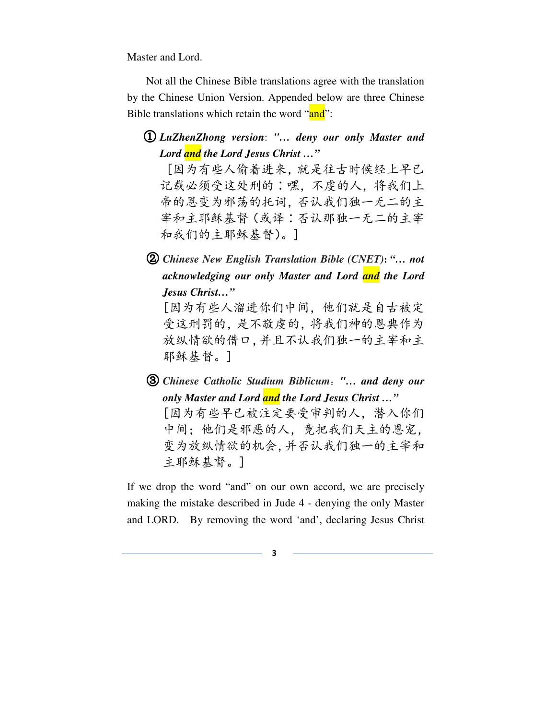Master and Lord.

 Not all the Chinese Bible translations agree with the translation by the Chinese Union Version. Appended below are three Chinese Bible translations which retain the word "and":

① *LuZhenZhong version*: *"… deny our only Master and Lord and the Lord Jesus Christ …"* 

 [因为有些人偷着进来,就是往古时候经上早已 记载必须受这处刑的∶嘿,不虔的人,将我们上 帝的恩变为邪荡的托词,否认我们独一无二的主 宰和主耶稣基督(或译∶否认那独一无二的主宰 和我们的主耶稣基督)。]

② *Chinese New English Translation Bible (CNET)***:** *"… not acknowledging our only Master and Lord and the Lord Jesus Christ…"* 

[因为有些人溜进你们中间,他们就是自古被定 受这刑罚的,是不敬虔的,将我们神的恩典作为 放纵情欲的借口,并且不认我们独一的主宰和主 耶稣基督。]

③ *Chinese Catholic Studium Biblicum*:*"… and deny our only Master and Lord and the Lord Jesus Christ …"*  [因为有些早已被注定要受审判的人,潜入你们 中间;他们是邪恶的人,竟把我们天主的恩宠, 变为放纵情欲的机会,并否认我们独一的主宰和 主耶稣基督。]

If we drop the word "and" on our own accord, we are precisely making the mistake described in Jude 4 - denying the only Master and LORD. By removing the word 'and', declaring Jesus Christ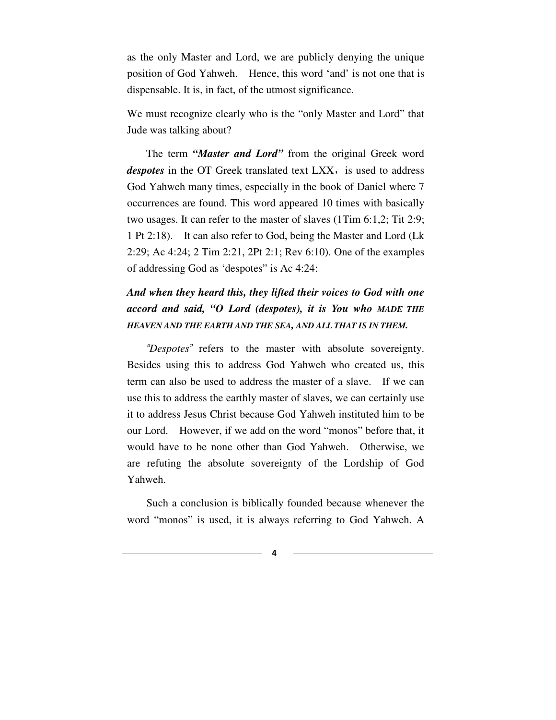as the only Master and Lord, we are publicly denying the unique position of God Yahweh. Hence, this word 'and' is not one that is dispensable. It is, in fact, of the utmost significance.

We must recognize clearly who is the "only Master and Lord" that Jude was talking about?

The term *"Master and Lord"* from the original Greek word *despotes* in the OT Greek translated text LXX, is used to address God Yahweh many times, especially in the book of Daniel where 7 occurrences are found. This word appeared 10 times with basically two usages. It can refer to the master of slaves (1Tim 6:1,2; Tit 2:9; 1 Pt 2:18). It can also refer to God, being the Master and Lord (Lk 2:29; Ac 4:24; 2 Tim 2:21, 2Pt 2:1; Rev 6:10). One of the examples of addressing God as 'despotes" is Ac 4:24:

# *And when they heard this, they lifted their voices to God with one accord and said, "O Lord (despotes), it is You who MADE THE HEAVEN AND THE EARTH AND THE SEA, AND ALL THAT IS IN THEM.*

"*Despotes*" refers to the master with absolute sovereignty. Besides using this to address God Yahweh who created us, this term can also be used to address the master of a slave. If we can use this to address the earthly master of slaves, we can certainly use it to address Jesus Christ because God Yahweh instituted him to be our Lord. However, if we add on the word "monos" before that, it would have to be none other than God Yahweh. Otherwise, we are refuting the absolute sovereignty of the Lordship of God Yahweh.

Such a conclusion is biblically founded because whenever the word "monos" is used, it is always referring to God Yahweh. A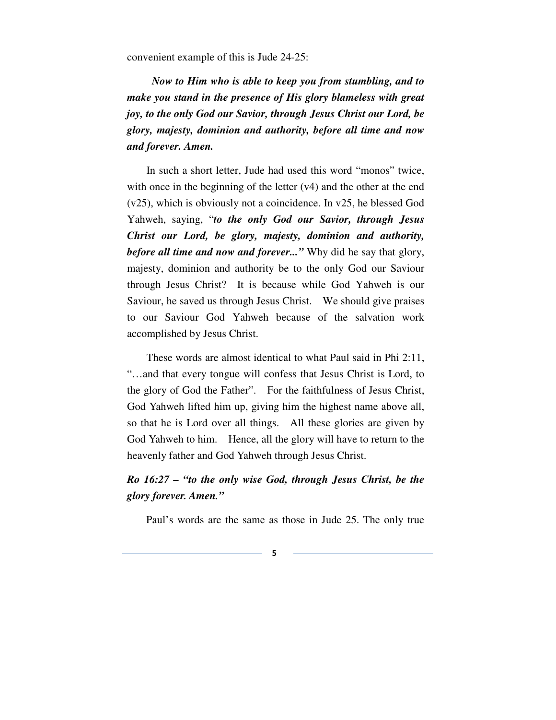convenient example of this is Jude 24-25:

*Now to Him who is able to keep you from stumbling, and to make you stand in the presence of His glory blameless with great joy, to the only God our Savior, through Jesus Christ our Lord, be glory, majesty, dominion and authority, before all time and now and forever. Amen.* 

In such a short letter, Jude had used this word "monos" twice, with once in the beginning of the letter  $(v4)$  and the other at the end (v25), which is obviously not a coincidence. In v25, he blessed God Yahweh, saying, "*to the only God our Savior, through Jesus Christ our Lord, be glory, majesty, dominion and authority, before all time and now and forever...*" Why did he say that glory, majesty, dominion and authority be to the only God our Saviour through Jesus Christ? It is because while God Yahweh is our Saviour, he saved us through Jesus Christ. We should give praises to our Saviour God Yahweh because of the salvation work accomplished by Jesus Christ.

These words are almost identical to what Paul said in Phi 2:11, "…and that every tongue will confess that Jesus Christ is Lord, to the glory of God the Father". For the faithfulness of Jesus Christ, God Yahweh lifted him up, giving him the highest name above all, so that he is Lord over all things. All these glories are given by God Yahweh to him. Hence, all the glory will have to return to the heavenly father and God Yahweh through Jesus Christ.

### *Ro 16:27 – "to the only wise God, through Jesus Christ, be the glory forever. Amen."*

Paul's words are the same as those in Jude 25. The only true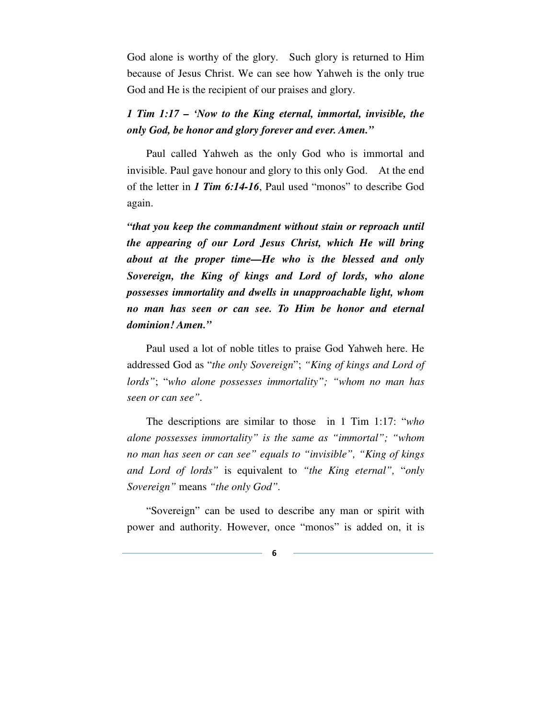God alone is worthy of the glory. Such glory is returned to Him because of Jesus Christ. We can see how Yahweh is the only true God and He is the recipient of our praises and glory.

#### *1 Tim 1:17 – 'Now to the King eternal, immortal, invisible, the only God, be honor and glory forever and ever. Amen."*

Paul called Yahweh as the only God who is immortal and invisible. Paul gave honour and glory to this only God. At the end of the letter in *1 Tim 6:14-16*, Paul used "monos" to describe God again.

*"that you keep the commandment without stain or reproach until the appearing of our Lord Jesus Christ, which He will bring about at the proper time—He who is the blessed and only Sovereign, the King of kings and Lord of lords, who alone possesses immortality and dwells in unapproachable light, whom no man has seen or can see. To Him be honor and eternal dominion! Amen."*

Paul used a lot of noble titles to praise God Yahweh here. He addressed God as "*the only Sovereign*"; *"King of kings and Lord of lords"*; "*who alone possesses immortality"; "whom no man has seen or can see".* 

The descriptions are similar to those in 1 Tim 1:17: "*who alone possesses immortality" is the same as "immortal"; "whom no man has seen or can see" equals to "invisible", "King of kings and Lord of lords"* is equivalent to *"the King eternal",* "*only Sovereign"* means *"the only God".*

"Sovereign" can be used to describe any man or spirit with power and authority. However, once "monos" is added on, it is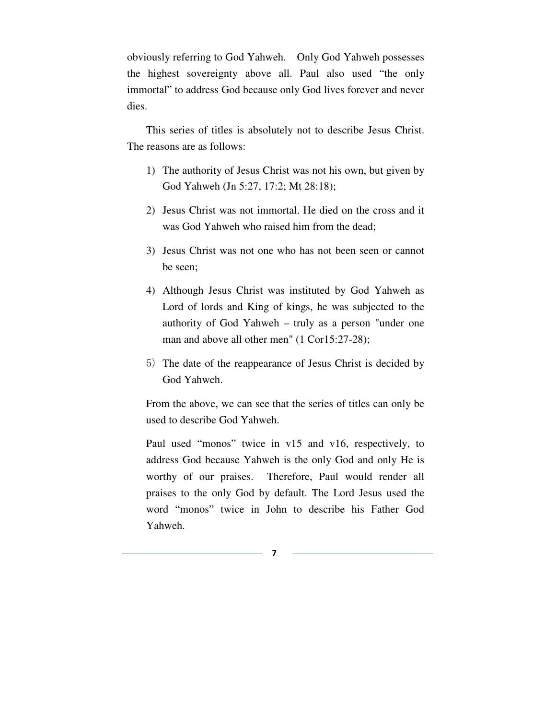obviously referring to God Yahweh. Only God Yahweh possesses the highest sovereignty above all. Paul also used "the only immortal" to address God because only God lives forever and never dies.

This series of titles is absolutely not to describe Jesus Christ. The reasons are as follows:

- 1) The authority of Jesus Christ was not his own, but given by God Yahweh (Jn 5:27, 17:2; Mt 28:18);
- 2) Jesus Christ was not immortal. He died on the cross and it was God Yahweh who raised him from the dead;
- 3) Jesus Christ was not one who has not been seen or cannot be seen;
- 4) Although Jesus Christ was instituted by God Yahweh as Lord of lords and King of kings, he was subjected to the authority of God Yahweh – truly as a person "under one man and above all other men" (1 Cor15:27-28);
- 5) The date of the reappearance of Jesus Christ is decided by God Yahweh.

From the above, we can see that the series of titles can only be used to describe God Yahweh.

Paul used "monos" twice in v15 and v16, respectively, to address God because Yahweh is the only God and only He is worthy of our praises. Therefore, Paul would render all praises to the only God by default. The Lord Jesus used the word "monos" twice in John to describe his Father God Yahweh.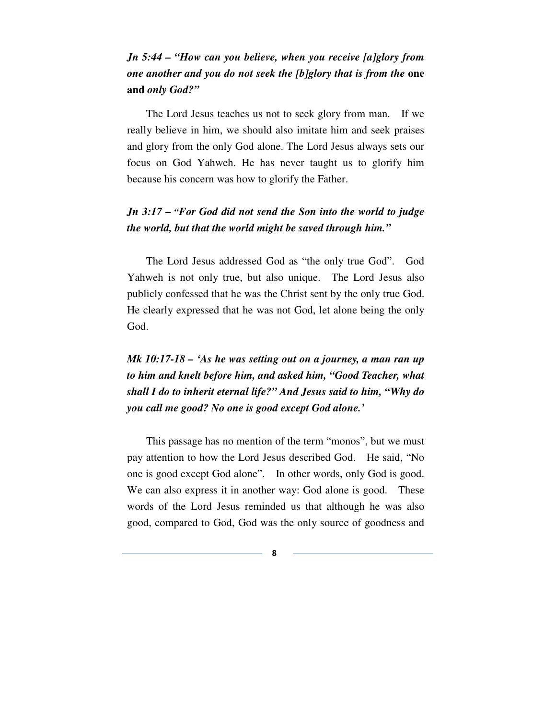## *Jn 5:44 – "How can you believe, when you receive [a]glory from one another and you do not seek the [b]glory that is from the* **one and** *only God?"*

The Lord Jesus teaches us not to seek glory from man. If we really believe in him, we should also imitate him and seek praises and glory from the only God alone. The Lord Jesus always sets our focus on God Yahweh. He has never taught us to glorify him because his concern was how to glorify the Father.

### *Jn 3:17 – "For God did not send the Son into the world to judge the world, but that the world might be saved through him."*

The Lord Jesus addressed God as "the only true God". God Yahweh is not only true, but also unique. The Lord Jesus also publicly confessed that he was the Christ sent by the only true God. He clearly expressed that he was not God, let alone being the only God.

# *Mk 10:17-18 – 'As he was setting out on a journey, a man ran up to him and knelt before him, and asked him, "Good Teacher, what shall I do to inherit eternal life?" And Jesus said to him, "Why do you call me good? No one is good except God alone.'*

This passage has no mention of the term "monos", but we must pay attention to how the Lord Jesus described God. He said, "No one is good except God alone". In other words, only God is good. We can also express it in another way: God alone is good. These words of the Lord Jesus reminded us that although he was also good, compared to God, God was the only source of goodness and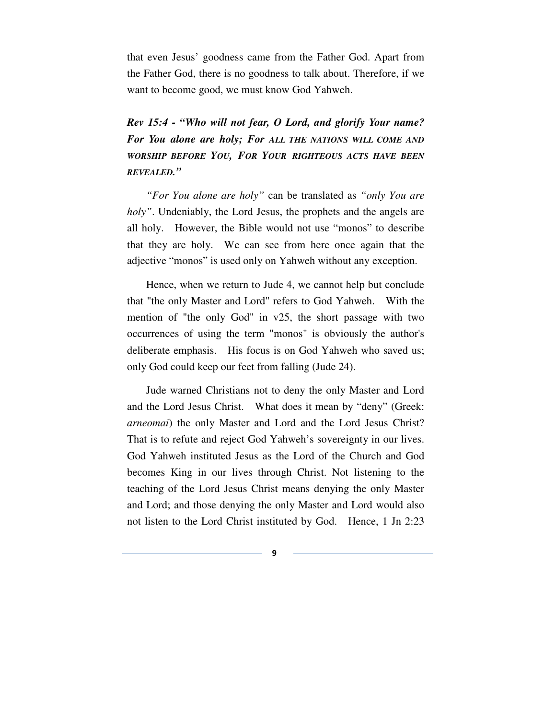that even Jesus' goodness came from the Father God. Apart from the Father God, there is no goodness to talk about. Therefore, if we want to become good, we must know God Yahweh.

*Rev 15:4 - "Who will not fear, O Lord, and glorify Your name? For You alone are holy; For ALL THE NATIONS WILL COME AND WORSHIP BEFORE YOU, FOR YOUR RIGHTEOUS ACTS HAVE BEEN REVEALED."*

*"For You alone are holy"* can be translated as *"only You are holy*". Undeniably, the Lord Jesus, the prophets and the angels are all holy. However, the Bible would not use "monos" to describe that they are holy. We can see from here once again that the adjective "monos" is used only on Yahweh without any exception.

 Hence, when we return to Jude 4, we cannot help but conclude that "the only Master and Lord" refers to God Yahweh. With the mention of "the only God" in v25, the short passage with two occurrences of using the term "monos" is obviously the author's deliberate emphasis. His focus is on God Yahweh who saved us; only God could keep our feet from falling (Jude 24).

 Jude warned Christians not to deny the only Master and Lord and the Lord Jesus Christ. What does it mean by "deny" (Greek: *arneomai*) the only Master and Lord and the Lord Jesus Christ? That is to refute and reject God Yahweh's sovereignty in our lives. God Yahweh instituted Jesus as the Lord of the Church and God becomes King in our lives through Christ. Not listening to the teaching of the Lord Jesus Christ means denying the only Master and Lord; and those denying the only Master and Lord would also not listen to the Lord Christ instituted by God. Hence, 1 Jn 2:23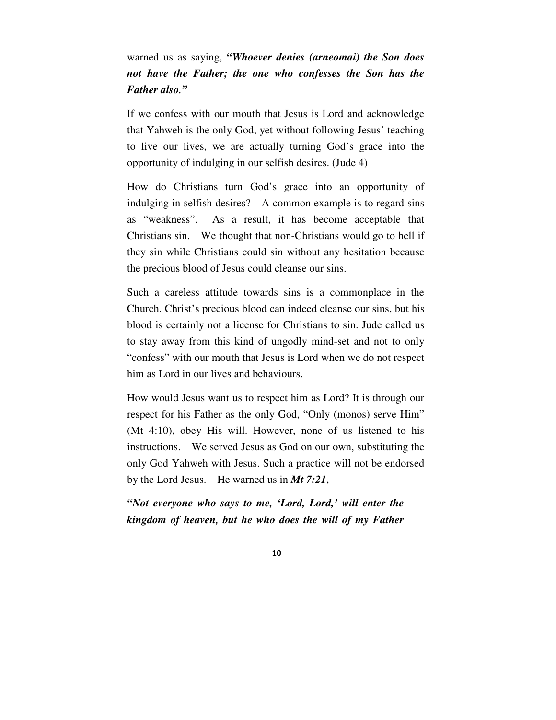warned us as saying, *"Whoever denies (arneomai) the Son does not have the Father; the one who confesses the Son has the Father also."* 

If we confess with our mouth that Jesus is Lord and acknowledge that Yahweh is the only God, yet without following Jesus' teaching to live our lives, we are actually turning God's grace into the opportunity of indulging in our selfish desires. (Jude 4)

How do Christians turn God's grace into an opportunity of indulging in selfish desires? A common example is to regard sins as "weakness". As a result, it has become acceptable that Christians sin. We thought that non-Christians would go to hell if they sin while Christians could sin without any hesitation because the precious blood of Jesus could cleanse our sins.

Such a careless attitude towards sins is a commonplace in the Church. Christ's precious blood can indeed cleanse our sins, but his blood is certainly not a license for Christians to sin. Jude called us to stay away from this kind of ungodly mind-set and not to only "confess" with our mouth that Jesus is Lord when we do not respect him as Lord in our lives and behaviours.

How would Jesus want us to respect him as Lord? It is through our respect for his Father as the only God, "Only (monos) serve Him" (Mt 4:10), obey His will. However, none of us listened to his instructions. We served Jesus as God on our own, substituting the only God Yahweh with Jesus. Such a practice will not be endorsed by the Lord Jesus. He warned us in *Mt 7:21*,

*"Not everyone who says to me, 'Lord, Lord,' will enter the kingdom of heaven, but he who does the will of my Father*